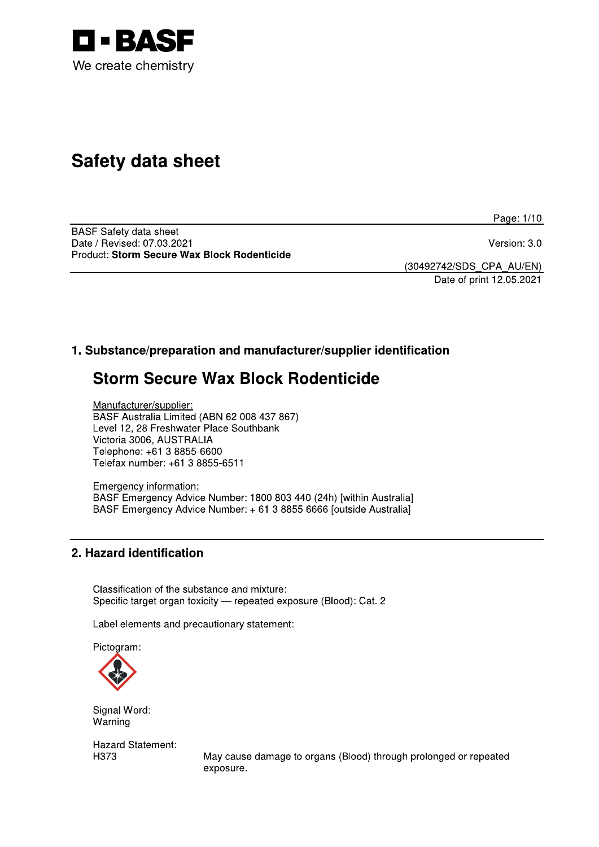

# **Safety data sheet**

Page: 1/10

**BASF Safety data sheet** Date / Revised: 07.03.2021 Product: Storm Secure Wax Block Rodenticide

Version: 3.0

(30492742/SDS\_CPA\_AU/EN) Date of print 12.05.2021

## 1. Substance/preparation and manufacturer/supplier identification

# **Storm Secure Wax Block Rodenticide**

Manufacturer/supplier: BASF Australia Limited (ABN 62 008 437 867) Level 12, 28 Freshwater Place Southbank Victoria 3006, AUSTRALIA Telephone: +61 3 8855-6600 Telefax number: +61 3 8855-6511

Emergency information: BASF Emergency Advice Number: 1800 803 440 (24h) [within Australia] BASF Emergency Advice Number: + 61 3 8855 6666 [outside Australia]

## 2. Hazard identification

Classification of the substance and mixture: Specific target organ toxicity - repeated exposure (Blood): Cat. 2

Label elements and precautionary statement:

Pictogram:



Signal Word: Warning

**Hazard Statement:** H373

May cause damage to organs (Blood) through prolonged or repeated exposure.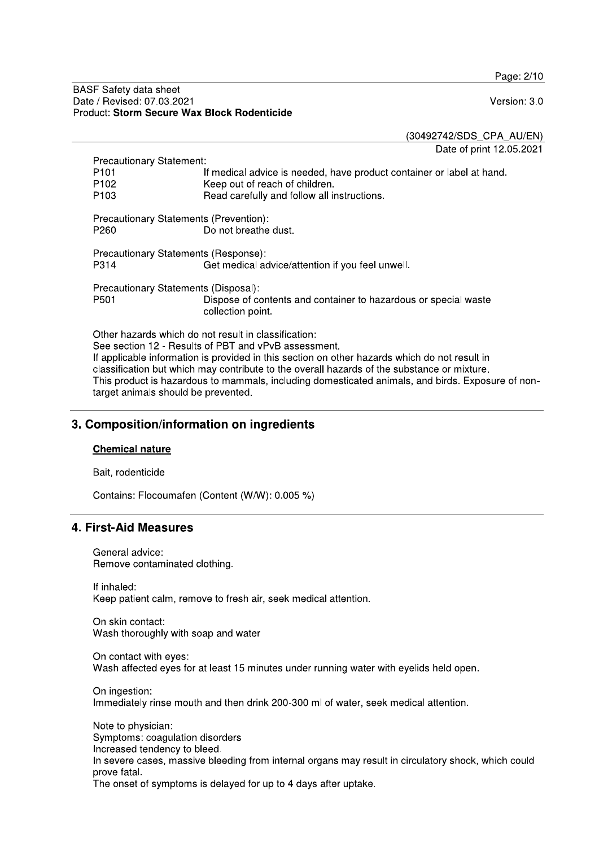Page: 2/10

#### **BASF Safety data sheet** Date / Revised: 07.03.2021 Product: Storm Secure Wax Block Rodenticide

Version: 3.0

(30492742/SDS\_CPA\_AU/EN)

Date of print 12.05.2021

| <b>Precautionary Statement:</b>                                                                                                                                                                               |                                                                                      |  |  |  |  |
|---------------------------------------------------------------------------------------------------------------------------------------------------------------------------------------------------------------|--------------------------------------------------------------------------------------|--|--|--|--|
| P <sub>101</sub>                                                                                                                                                                                              | If medical advice is needed, have product container or label at hand.                |  |  |  |  |
| P <sub>102</sub>                                                                                                                                                                                              | Keep out of reach of children.                                                       |  |  |  |  |
| P <sub>103</sub>                                                                                                                                                                                              | Read carefully and follow all instructions.                                          |  |  |  |  |
| Precautionary Statements (Prevention):<br>P260                                                                                                                                                                | Do not breathe dust.                                                                 |  |  |  |  |
| Precautionary Statements (Response):                                                                                                                                                                          |                                                                                      |  |  |  |  |
| P314                                                                                                                                                                                                          | Get medical advice/attention if you feel unwell.                                     |  |  |  |  |
|                                                                                                                                                                                                               |                                                                                      |  |  |  |  |
| Precautionary Statements (Disposal):                                                                                                                                                                          |                                                                                      |  |  |  |  |
| P <sub>501</sub>                                                                                                                                                                                              | Dispose of contents and container to hazardous or special waste<br>collection point. |  |  |  |  |
| Other hazards which do not result in classification:<br>See section 12 - Results of PBT and vPvB assessment.<br>If applicable information is provided in this section on other hazards which do not result in |                                                                                      |  |  |  |  |
|                                                                                                                                                                                                               |                                                                                      |  |  |  |  |

classification but which may contribute to the overall hazards of the substance or mixture. This product is hazardous to mammals, including domesticated animals, and birds. Exposure of nontarget animals should be prevented.

## 3. Composition/information on ingredients

#### **Chemical nature**

Bait, rodenticide

Contains: Flocoumafen (Content (W/W): 0.005 %)

## 4. First-Aid Measures

General advice: Remove contaminated clothing.

If inhaled: Keep patient calm, remove to fresh air, seek medical attention.

On skin contact: Wash thoroughly with soap and water

On contact with eyes: Wash affected eyes for at least 15 minutes under running water with eyelids held open.

On ingestion: Immediately rinse mouth and then drink 200-300 ml of water, seek medical attention.

Note to physician: Symptoms: coagulation disorders Increased tendency to bleed. In severe cases, massive bleeding from internal organs may result in circulatory shock, which could prove fatal. The onset of symptoms is delayed for up to 4 days after uptake.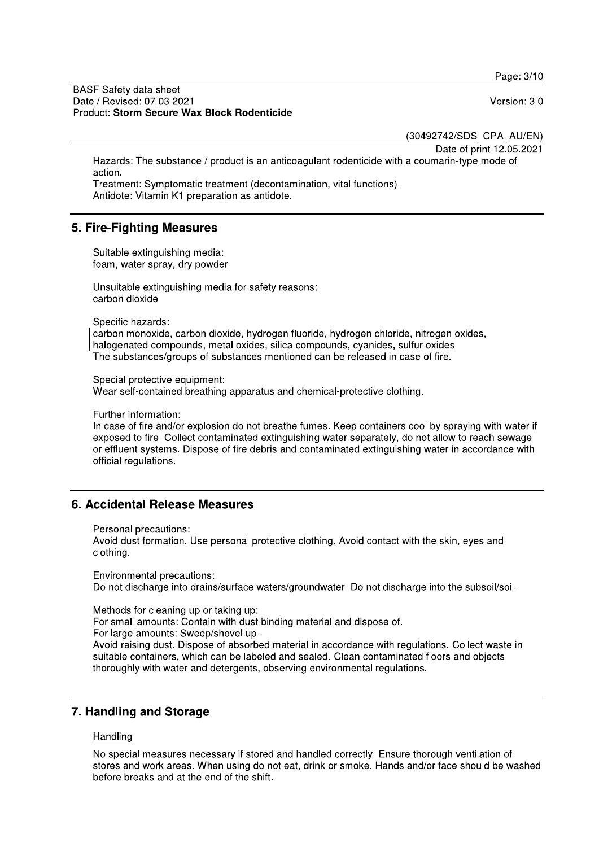Page: 3/10

**BASF Safety data sheet** Date / Revised: 07.03.2021 Product: Storm Secure Wax Block Rodenticide

Version: 3.0

(30492742/SDS\_CPA\_AU/EN)

Date of print 12.05.2021

Hazards: The substance / product is an anticoagulant rodenticide with a coumarin-type mode of action

Treatment: Symptomatic treatment (decontamination, vital functions). Antidote: Vitamin K1 preparation as antidote.

### 5. Fire-Fighting Measures

Suitable extinguishing media: foam, water spray, dry powder

Unsuitable extinguishing media for safety reasons: carbon dioxide

Specific hazards:

carbon monoxide, carbon dioxide, hydrogen fluoride, hydrogen chloride, nitrogen oxides, halogenated compounds, metal oxides, silica compounds, cyanides, sulfur oxides The substances/groups of substances mentioned can be released in case of fire.

Special protective equipment:

Wear self-contained breathing apparatus and chemical-protective clothing.

Further information:

In case of fire and/or explosion do not breathe fumes. Keep containers cool by spraying with water if exposed to fire. Collect contaminated extinguishing water separately, do not allow to reach sewage or effluent systems. Dispose of fire debris and contaminated extinguishing water in accordance with official regulations.

## 6. Accidental Release Measures

Personal precautions:

Avoid dust formation. Use personal protective clothing. Avoid contact with the skin, eyes and clothing.

Environmental precautions: Do not discharge into drains/surface waters/groundwater. Do not discharge into the subsoil/soil.

Methods for cleaning up or taking up:

For small amounts: Contain with dust binding material and dispose of.

For large amounts: Sweep/shovel up.

Avoid raising dust. Dispose of absorbed material in accordance with regulations. Collect waste in suitable containers, which can be labeled and sealed. Clean contaminated floors and objects thoroughly with water and detergents, observing environmental regulations.

## 7. Handling and Storage

#### Handling

No special measures necessary if stored and handled correctly. Ensure thorough ventilation of stores and work areas. When using do not eat, drink or smoke. Hands and/or face should be washed before breaks and at the end of the shift.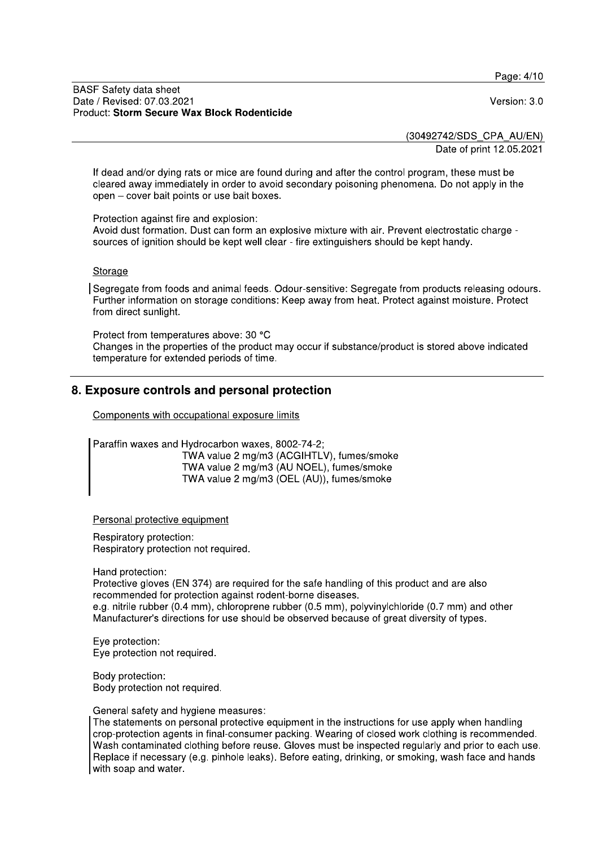Page: 4/10

#### **BASF Safety data sheet** Date / Revised: 07.03.2021 Product: Storm Secure Wax Block Rodenticide

Version: 3.0

(30492742/SDS\_CPA\_AU/EN)

Date of print 12.05.2021

If dead and/or dying rats or mice are found during and after the control program, these must be cleared away immediately in order to avoid secondary poisoning phenomena. Do not apply in the open - cover bait points or use bait boxes.

Protection against fire and explosion:

Avoid dust formation. Dust can form an explosive mixture with air. Prevent electrostatic charge sources of ignition should be kept well clear - fire extinguishers should be kept handy.

#### Storage

Segregate from foods and animal feeds. Odour-sensitive: Segregate from products releasing odours. Further information on storage conditions: Keep away from heat. Protect against moisture. Protect from direct sunlight.

Protect from temperatures above: 30 °C Changes in the properties of the product may occur if substance/product is stored above indicated temperature for extended periods of time.

## 8. Exposure controls and personal protection

Components with occupational exposure limits

Paraffin waxes and Hydrocarbon waxes, 8002-74-2; TWA value 2 mg/m3 (ACGIHTLV), fumes/smoke TWA value 2 mg/m3 (AU NOEL), fumes/smoke TWA value 2 mg/m3 (OEL (AU)), fumes/smoke

Personal protective equipment

Respiratory protection: Respiratory protection not required.

Hand protection:

Protective gloves (EN 374) are required for the safe handling of this product and are also recommended for protection against rodent-borne diseases.

e.g. nitrile rubber (0.4 mm), chloroprene rubber (0.5 mm), polyvinylchloride (0.7 mm) and other Manufacturer's directions for use should be observed because of great diversity of types.

Eye protection: Eye protection not required.

Body protection: Body protection not required.

General safety and hygiene measures:

The statements on personal protective equipment in the instructions for use apply when handling crop-protection agents in final-consumer packing. Wearing of closed work clothing is recommended. Wash contaminated clothing before reuse. Gloves must be inspected regularly and prior to each use. Replace if necessary (e.g. pinhole leaks). Before eating, drinking, or smoking, wash face and hands with soap and water.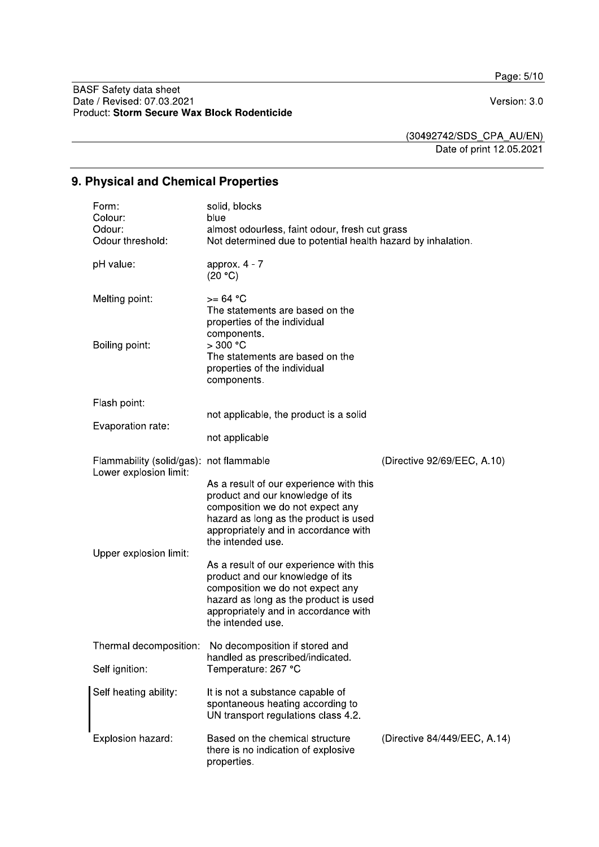Page: 5/10

BASF Safety data sheet<br>Date / Revised: 07.03.2021<br>Product: Storm Secure Wax Block Rodenticide

Version: 3.0

(30492742/SDS\_CPA\_AU/EN)

Date of print 12.05.2021

# 9. Physical and Chemical Properties

|  | Form:<br>Colour:<br>Odour:<br>Odour threshold:                    | solid, blocks<br>blue<br>almost odourless, faint odour, fresh cut grass<br>Not determined due to potential health hazard by inhalation.                                                                               |                              |
|--|-------------------------------------------------------------------|-----------------------------------------------------------------------------------------------------------------------------------------------------------------------------------------------------------------------|------------------------------|
|  | pH value:                                                         | approx. $4 - 7$<br>(20 °C)                                                                                                                                                                                            |                              |
|  | Melting point:                                                    | $>= 64 °C$<br>The statements are based on the<br>properties of the individual<br>components.                                                                                                                          |                              |
|  | Boiling point:                                                    | $>300$ °C<br>The statements are based on the<br>properties of the individual<br>components.                                                                                                                           |                              |
|  | Flash point:                                                      |                                                                                                                                                                                                                       |                              |
|  | Evaporation rate:                                                 | not applicable, the product is a solid                                                                                                                                                                                |                              |
|  |                                                                   | not applicable                                                                                                                                                                                                        |                              |
|  | Flammability (solid/gas): not flammable<br>Lower explosion limit: |                                                                                                                                                                                                                       | (Directive 92/69/EEC, A.10)  |
|  |                                                                   | As a result of our experience with this<br>product and our knowledge of its<br>composition we do not expect any<br>hazard as long as the product is used<br>appropriately and in accordance with<br>the intended use. |                              |
|  | Upper explosion limit:                                            | As a result of our experience with this<br>product and our knowledge of its<br>composition we do not expect any<br>hazard as long as the product is used<br>appropriately and in accordance with<br>the intended use. |                              |
|  | Thermal decomposition:                                            | No decomposition if stored and<br>handled as prescribed/indicated.                                                                                                                                                    |                              |
|  | Self ignition:                                                    | Temperature: 267 °C                                                                                                                                                                                                   |                              |
|  | Self heating ability:                                             | It is not a substance capable of<br>spontaneous heating according to<br>UN transport regulations class 4.2.                                                                                                           |                              |
|  | Explosion hazard:                                                 | Based on the chemical structure<br>there is no indication of explosive<br>properties.                                                                                                                                 | (Directive 84/449/EEC, A.14) |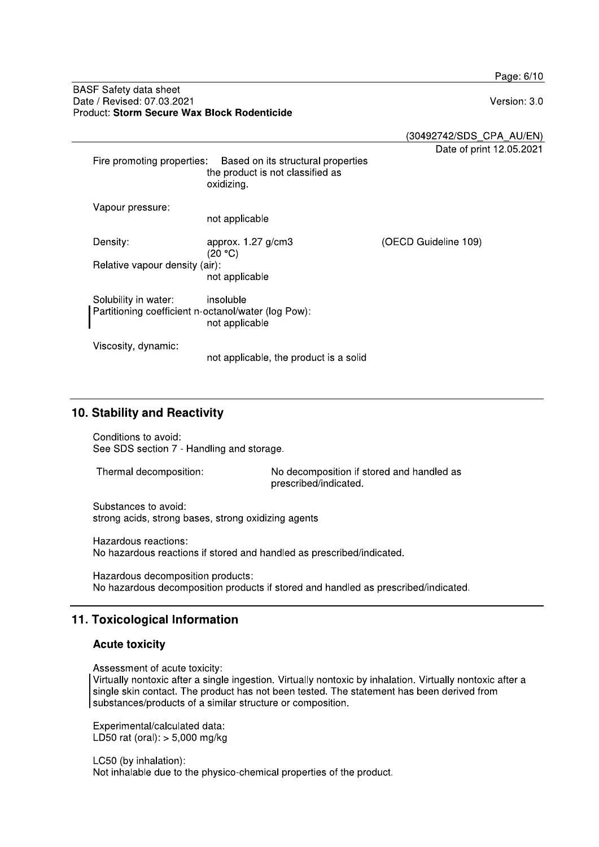Page: 6/10

#### **BASF Safety data sheet** Date / Revised: 07.03.2021 Product: Storm Secure Wax Block Rodenticide

Version: 3.0

(30492742/SDS\_CPA\_AU/EN)

Date of print 12.05.2021

|                                                                                                            | Fire promoting properties:     | Based on its structural properties<br>the product is not classified as<br>oxidizing. |                      |
|------------------------------------------------------------------------------------------------------------|--------------------------------|--------------------------------------------------------------------------------------|----------------------|
|                                                                                                            | Vapour pressure:               | not applicable                                                                       |                      |
|                                                                                                            | Density:                       | approx. $1.27$ g/cm3<br>(20 °C)                                                      | (OECD Guideline 109) |
|                                                                                                            | Relative vapour density (air): | not applicable                                                                       |                      |
| Solubility in water:<br>insoluble<br>Partitioning coefficient n-octanol/water (log Pow):<br>not applicable |                                |                                                                                      |                      |
|                                                                                                            | Viscosity, dynamic:            | not applicable, the product is a solid                                               |                      |

## 10. Stability and Reactivity

Conditions to avoid: See SDS section 7 - Handling and storage.

Thermal decomposition: No decomposition if stored and handled as prescribed/indicated.

Substances to avoid: strong acids, strong bases, strong oxidizing agents

Hazardous reactions: No hazardous reactions if stored and handled as prescribed/indicated.

Hazardous decomposition products: No hazardous decomposition products if stored and handled as prescribed/indicated.

## 11. Toxicological Information

## **Acute toxicity**

Assessment of acute toxicity:

Virtually nontoxic after a single ingestion. Virtually nontoxic by inhalation. Virtually nontoxic after a single skin contact. The product has not been tested. The statement has been derived from substances/products of a similar structure or composition.

Experimental/calculated data: LD50 rat (oral):  $> 5,000$  mg/kg

LC50 (by inhalation): Not inhalable due to the physico-chemical properties of the product.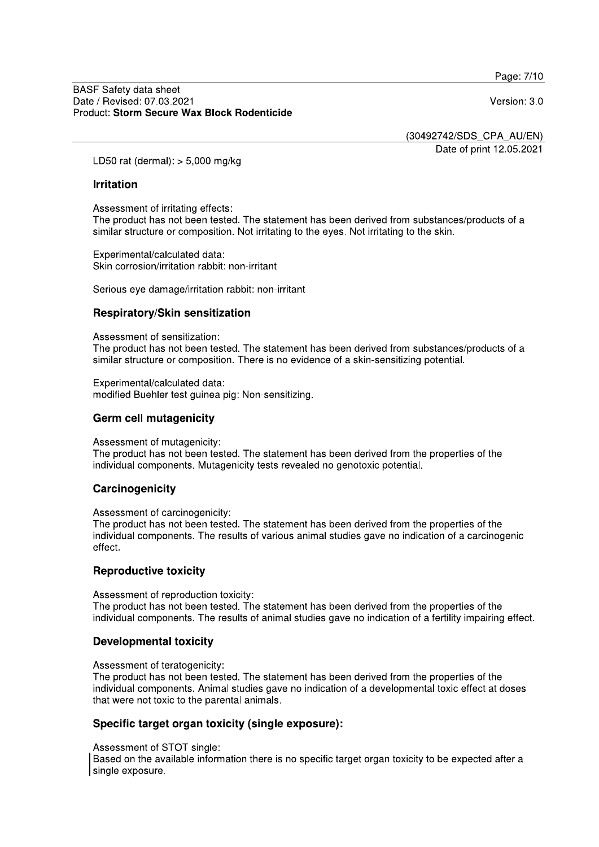Page: 7/10

Version: 3.0

(30492742/SDS CPA AU/EN)

Date of print 12.05.2021

LD50 rat (dermal):  $>$  5,000 mg/kg

#### **Irritation**

Assessment of irritating effects:

The product has not been tested. The statement has been derived from substances/products of a similar structure or composition. Not irritating to the eyes. Not irritating to the skin.

Experimental/calculated data: Skin corrosion/irritation rabbit: non-irritant

Serious eye damage/irritation rabbit: non-irritant

#### Respiratory/Skin sensitization

Assessment of sensitization:

The product has not been tested. The statement has been derived from substances/products of a similar structure or composition. There is no evidence of a skin-sensitizing potential.

Experimental/calculated data: modified Buehler test guinea pig: Non-sensitizing.

## **Germ cell mutagenicity**

Assessment of mutagenicity:

The product has not been tested. The statement has been derived from the properties of the individual components. Mutagenicity tests revealed no genotoxic potential.

#### Carcinogenicity

Assessment of carcinogenicity:

The product has not been tested. The statement has been derived from the properties of the individual components. The results of various animal studies gave no indication of a carcinogenic effect.

#### **Reproductive toxicity**

Assessment of reproduction toxicity: The product has not been tested. The statement has been derived from the properties of the individual components. The results of animal studies gave no indication of a fertility impairing effect.

## **Developmental toxicity**

Assessment of teratogenicity:

The product has not been tested. The statement has been derived from the properties of the individual components. Animal studies gave no indication of a developmental toxic effect at doses that were not toxic to the parental animals.

## Specific target organ toxicity (single exposure):

Assessment of STOT single:

Based on the available information there is no specific target organ toxicity to be expected after a single exposure.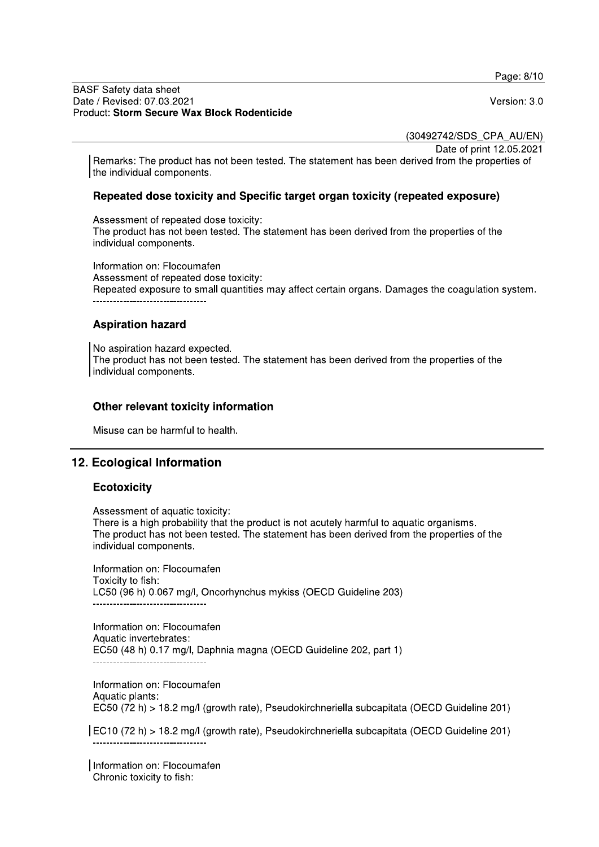Page: 8/10

#### **BASF Safety data sheet** Date / Revised: 07.03.2021 Product: Storm Secure Wax Block Rodenticide

Version: 3.0

(30492742/SDS CPA AU/EN)

Date of print 12.05.2021

Remarks: The product has not been tested. The statement has been derived from the properties of the individual components.

## Repeated dose toxicity and Specific target organ toxicity (repeated exposure)

Assessment of repeated dose toxicity: The product has not been tested. The statement has been derived from the properties of the individual components.

Information on: Flocoumafen Assessment of repeated dose toxicity: Repeated exposure to small quantities may affect certain organs. Damages the coagulation system. 

## **Aspiration hazard**

No aspiration hazard expected. The product has not been tested. The statement has been derived from the properties of the individual components.

## Other relevant toxicity information

Misuse can be harmful to health.

## 12. Ecological Information

## **Ecotoxicity**

Assessment of aquatic toxicity:

There is a high probability that the product is not acutely harmful to aquatic organisms. The product has not been tested. The statement has been derived from the properties of the individual components.

Information on: Flocoumafen Toxicity to fish: LC50 (96 h) 0.067 mg/l, Oncorhynchus mykiss (OECD Guideline 203) --------------------------------

Information on: Flocoumafen Aquatic invertebrates: EC50 (48 h) 0.17 mg/l, Daphnia magna (OECD Guideline 202, part 1)

Information on: Flocoumafen Aquatic plants: EC50 (72 h) > 18.2 mg/l (growth rate), Pseudokirchneriella subcapitata (OECD Guideline 201)

EC10 (72 h) > 18.2 mg/l (growth rate), Pseudokirchneriella subcapitata (OECD Guideline 201) -------------------------------

Information on: Flocoumafen Chronic toxicity to fish: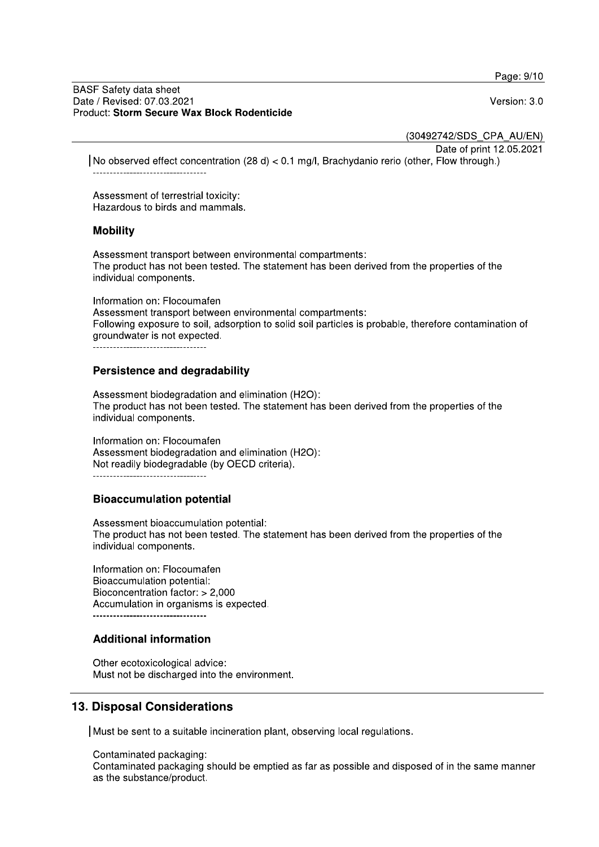Page: 9/10

#### **BASF Safety data sheet** Date / Revised: 07.03.2021 Product: Storm Secure Wax Block Rodenticide

Version: 3.0

(30492742/SDS CPA AU/EN)

Date of print 12.05.2021

No observed effect concentration (28 d) < 0.1 mg/l, Brachydanio rerio (other, Flow through.)

Assessment of terrestrial toxicity: Hazardous to birds and mammals.

### **Mobility**

Assessment transport between environmental compartments: The product has not been tested. The statement has been derived from the properties of the individual components.

Information on: Flocoumafen Assessment transport between environmental compartments: Following exposure to soil, adsorption to solid soil particles is probable, therefore contamination of groundwater is not expected.

----------------------------------

### **Persistence and degradability**

Assessment biodegradation and elimination (H2O): The product has not been tested. The statement has been derived from the properties of the individual components.

Information on: Flocoumafen Assessment biodegradation and elimination (H2O): Not readily biodegradable (by OECD criteria).

-------------------------------

## **Bioaccumulation potential**

Assessment bioaccumulation potential: The product has not been tested. The statement has been derived from the properties of the individual components.

Information on: Flocoumafen Bioaccumulation potential: Bioconcentration factor: > 2,000 Accumulation in organisms is expected. 

## **Additional information**

Other ecotoxicological advice: Must not be discharged into the environment.

## **13. Disposal Considerations**

Must be sent to a suitable incineration plant, observing local regulations.

Contaminated packaging: Contaminated packaging should be emptied as far as possible and disposed of in the same manner as the substance/product.